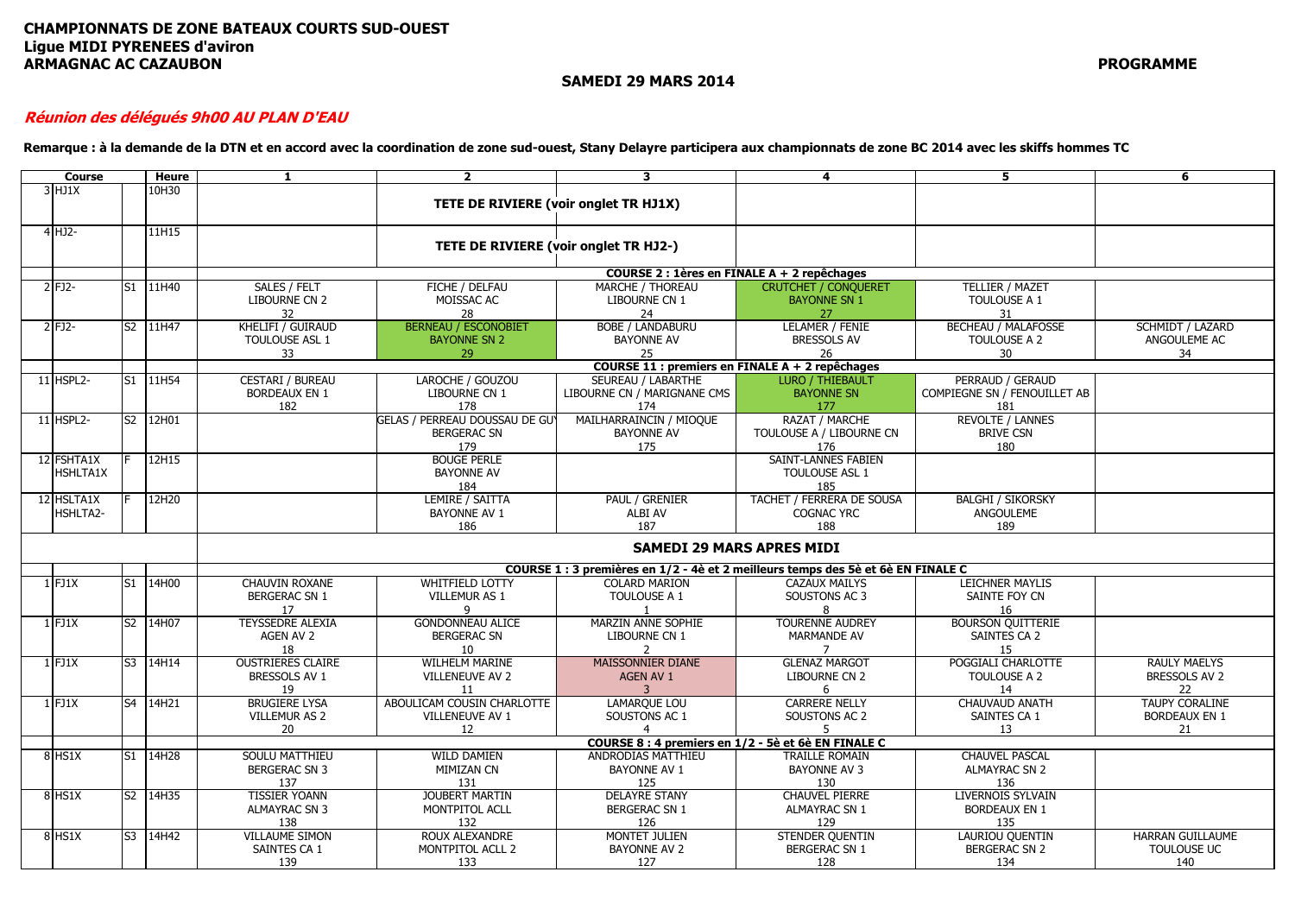#### **CHAMPIONNATS DE ZONE BATEAUX COURTS SUD-OUEST Ligue MIDI PYRENEES d'aviron ARMAGNAC AC CAZAUBON PROGRAMME**

**SAMEDI 29 MARS 2014**

#### **Réunion des délégués 9h00 AU PLAN D'EAU**

**Remarque : à la demande de la DTN et en accord avec la coordination de zone sud-ouest, Stany Delayre participera aux championnats de zone BC 2014 avec les skiffs hommes TC**

| <b>Course</b>          | Heure    | 1                                                      | $\overline{2}$                                              | 3                                                                                | 4                                                              | 5                                                       | 6                                                   |
|------------------------|----------|--------------------------------------------------------|-------------------------------------------------------------|----------------------------------------------------------------------------------|----------------------------------------------------------------|---------------------------------------------------------|-----------------------------------------------------|
| $3$ HJ1X               | 10H30    |                                                        | TETE DE RIVIERE (voir onglet TR HJ1X)                       |                                                                                  |                                                                |                                                         |                                                     |
| $4$ HJ2-               | 11H15    |                                                        | TETE DE RIVIERE (voir onglet TR HJ2-)                       |                                                                                  |                                                                |                                                         |                                                     |
|                        |          |                                                        |                                                             |                                                                                  | COURSE 2 : 1ères en FINALE A + 2 repêchages                    |                                                         |                                                     |
| 2 FJ2-                 | S1 11H40 | SALES / FELT<br>LIBOURNE CN 2<br>32                    | FICHE / DELFAU<br>MOISSAC AC<br>28                          | MARCHE / THOREAU<br>LIBOURNE CN 1<br>24                                          | <b>CRUTCHET / CONOUERET</b><br><b>BAYONNE SN 1</b><br>27       | <b>TELLIER / MAZET</b><br>TOULOUSE A 1<br>31            |                                                     |
| 2 FJ2-                 | S2 11H47 | <b>KHELIFI / GUIRAUD</b><br>TOULOUSE ASL 1<br>33       | <b>BERNEAU / ESCONOBIET</b><br><b>BAYONNE SN 2</b><br>29    | <b>BOBE / LANDABURU</b><br><b>BAYONNE AV</b><br>25                               | LELAMER / FENIE<br><b>BRESSOLS AV</b><br>26                    | <b>BECHEAU / MALAFOSSE</b><br>TOULOUSE A 2<br>30        | <b>SCHMIDT / LAZARD</b><br>ANGOULEME AC<br>34       |
|                        |          |                                                        |                                                             |                                                                                  | <b>COURSE 11 : premiers en FINALE A + 2 repêchages</b>         |                                                         |                                                     |
| 11 HSPL2-              | S1 11H54 | <b>CESTARI / BUREAU</b><br><b>BORDEAUX EN 1</b><br>182 | LAROCHE / GOUZOU<br>LIBOURNE CN 1<br>178                    | SEUREAU / LABARTHE<br>LIBOURNE CN / MARIGNANE CMS<br>174                         | <b>LURO / THIEBAULT</b><br><b>BAYONNE SN</b><br>177            | PERRAUD / GERAUD<br>COMPIEGNE SN / FENOUILLET AB<br>181 |                                                     |
| 11 HSPL2-              | S2 12H01 |                                                        | GELAS / PERREAU DOUSSAU DE GUY<br><b>BERGERAC SN</b><br>179 | MAILHARRAINCIN / MIOQUE<br><b>BAYONNE AV</b><br>175                              | RAZAT / MARCHE<br>TOULOUSE A / LIBOURNE CN<br>176              | <b>REVOLTE / LANNES</b><br><b>BRIVE CSN</b><br>180      |                                                     |
| 12 FSHTA1X<br>HSHLTA1X | 12H15    |                                                        | <b>BOUGE PERLE</b><br><b>BAYONNE AV</b><br>184              |                                                                                  | <b>SAINT-LANNES FABIEN</b><br>TOULOUSE ASL 1<br>185            |                                                         |                                                     |
| 12 HSLTA1X<br>HSHLTA2- | 12H20    |                                                        | LEMIRE / SAITTA<br><b>BAYONNE AV 1</b><br>186               | <b>PAUL / GRENIER</b><br>ALBI AV<br>187                                          | <b>TACHET / FERRERA DE SOUSA</b><br><b>COGNAC YRC</b><br>188   | <b>BALGHI / SIKORSKY</b><br>ANGOULEME<br>189            |                                                     |
|                        |          |                                                        |                                                             |                                                                                  | <b>SAMEDI 29 MARS APRES MIDI</b>                               |                                                         |                                                     |
|                        |          |                                                        |                                                             | COURSE 1 : 3 premières en 1/2 - 4è et 2 meilleurs temps des 5è et 6è EN FINALE C |                                                                |                                                         |                                                     |
| $1$ FJ1X               | S1 14H00 | <b>CHAUVIN ROXANE</b><br><b>BERGERAC SN 1</b><br>17    | WHITFIELD LOTTY<br><b>VILLEMUR AS 1</b><br>q                | <b>COLARD MARION</b><br>TOULOUSE A 1<br>-1                                       | <b>CAZAUX MAILYS</b><br>SOUSTONS AC 3<br>8                     | <b>LEICHNER MAYLIS</b><br>SAINTE FOY CN<br>16           |                                                     |
| $1$ FJ1 $X$            | S2 14H07 | <b>TEYSSEDRE ALEXIA</b><br>AGEN AV 2<br>18             | <b>GONDONNEAU ALICE</b><br><b>BERGERAC SN</b><br>10         | <b>MARZIN ANNE SOPHIE</b><br>LIBOURNE CN 1<br>2                                  | <b>TOURENNE AUDREY</b><br><b>MARMANDE AV</b><br>$\overline{7}$ | <b>BOURSON OUITTERIE</b><br>SAINTES CA 2<br>15          |                                                     |
| $1$ FJ1X               | S3 14H14 | <b>OUSTRIERES CLAIRE</b><br>BRESSOLS AV 1<br>19        | <b>WILHELM MARINE</b><br><b>VILLENEUVE AV 2</b><br>11       | <b>MAISSONNIER DIANE</b><br>AGEN AV 1<br>$\overline{3}$                          | <b>GLENAZ MARGOT</b><br>LIBOURNE CN 2<br>6                     | POGGIALI CHARLOTTE<br>TOULOUSE A 2<br>14                | <b>RAULY MAELYS</b><br>BRESSOLS AV 2<br>22          |
| $1$ FJ1 $X$            | S4 14H21 | <b>BRUGIERE LYSA</b><br><b>VILLEMUR AS 2</b><br>20     | ABOULICAM COUSIN CHARLOTTE<br>VILLENEUVE AV 1<br>12         | <b>LAMARQUE LOU</b><br>SOUSTONS AC 1<br>$\overline{4}$                           | <b>CARRERE NELLY</b><br>SOUSTONS AC 2<br>5                     | CHAUVAUD ANATH<br>SAINTES CA 1<br>13                    | <b>TAUPY CORALINE</b><br><b>BORDEAUX EN 1</b><br>21 |
|                        |          |                                                        |                                                             |                                                                                  | COURSE 8 : 4 premiers en 1/2 - 5è et 6è EN FINALE C            |                                                         |                                                     |
| 8 HS1X                 | S1 14H28 | <b>SOULU MATTHIEU</b><br><b>BERGERAC SN 3</b><br>137   | <b>WILD DAMIEN</b><br>MIMIZAN CN<br>131                     | ANDRODIAS MATTHIEU<br><b>BAYONNE AV 1</b><br>125                                 | <b>TRAILLE ROMAIN</b><br><b>BAYONNE AV 3</b><br>130            | <b>CHAUVEL PASCAL</b><br><b>ALMAYRAC SN 2</b><br>136    |                                                     |
| 8 HS1X                 | S2 14H35 | <b>TISSIER YOANN</b><br><b>ALMAYRAC SN 3</b><br>138    | <b>JOUBERT MARTIN</b><br>MONTPITOL ACLL<br>132              | <b>DELAYRE STANY</b><br><b>BERGERAC SN 1</b><br>126                              | <b>CHAUVEL PIERRE</b><br>ALMAYRAC SN 1<br>129                  | <b>LIVERNOIS SYLVAIN</b><br><b>BORDEAUX EN 1</b><br>135 |                                                     |
| 8 HS1X                 | S3 14H42 | <b>VILLAUME SIMON</b><br>SAINTES CA 1<br>139           | <b>ROUX ALEXANDRE</b><br>MONTPITOL ACLL 2<br>133            | MONTET JULIEN<br>BAYONNE AV 2<br>127                                             | STENDER QUENTIN<br><b>BERGERAC SN 1</b><br>128                 | <b>LAURIOU QUENTIN</b><br><b>BERGERAC SN 2</b><br>134   | <b>HARRAN GUILLAUME</b><br>TOULOUSE UC<br>140       |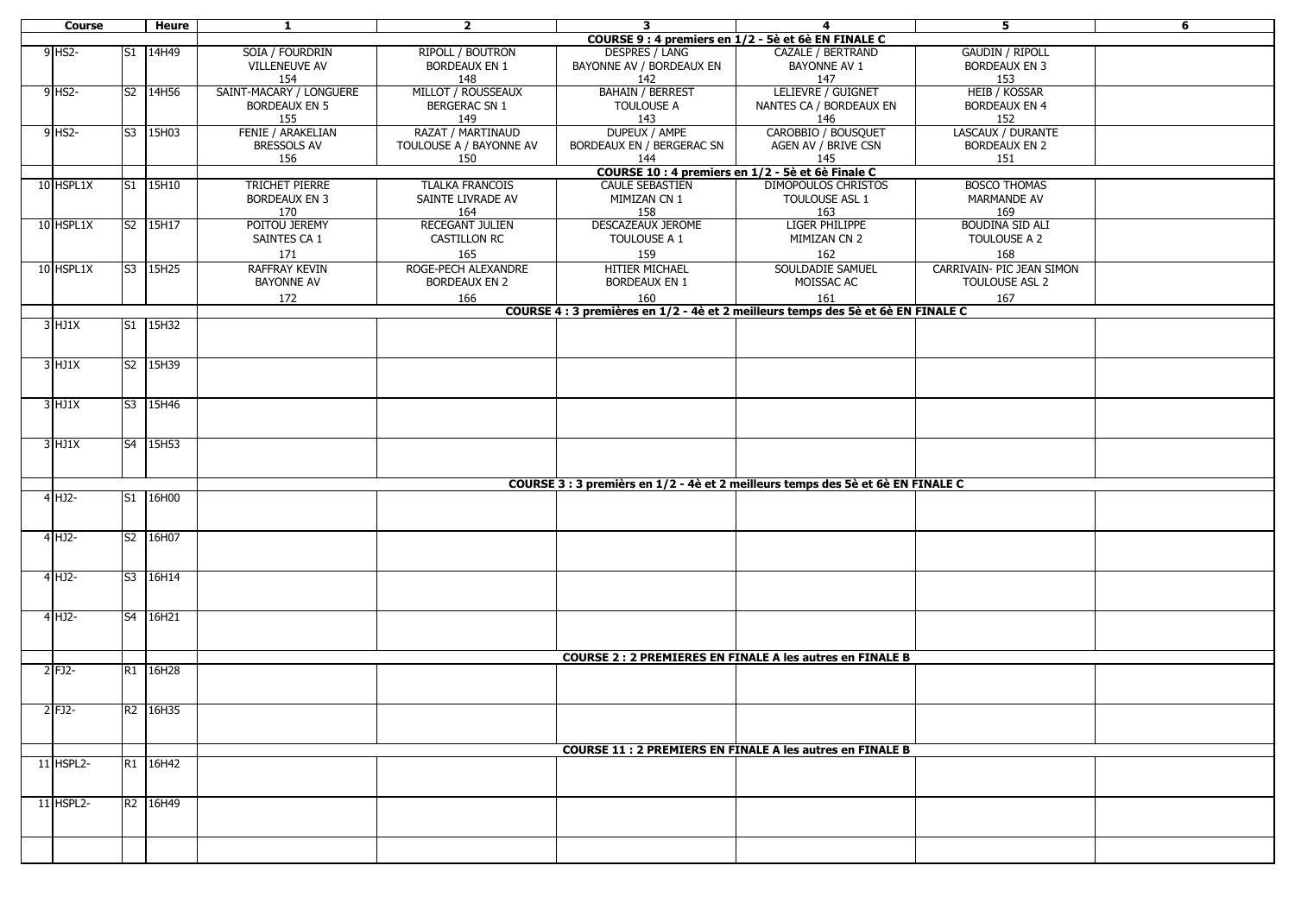| <b>Course</b> | Heure    | $\mathbf{1}$             | $\mathbf{2}$            | $\mathbf{3}$                                                                     | 4                                                               | 5                         | 6 |
|---------------|----------|--------------------------|-------------------------|----------------------------------------------------------------------------------|-----------------------------------------------------------------|---------------------------|---|
|               |          |                          |                         |                                                                                  | COURSE 9 : 4 premiers en 1/2 - 5è et 6è EN FINALE C             |                           |   |
| $9$ HS2-      | S1 14H49 | SOIA / FOURDRIN          | RIPOLL / BOUTRON        | <b>DESPRES / LANG</b>                                                            | CAZALE / BERTRAND                                               | <b>GAUDIN / RIPOLL</b>    |   |
|               |          | <b>VILLENEUVE AV</b>     | <b>BORDEAUX EN 1</b>    | BAYONNE AV / BORDEAUX EN                                                         | <b>BAYONNE AV 1</b>                                             | <b>BORDEAUX EN 3</b>      |   |
|               |          | 154                      | 148                     | 142                                                                              | 147                                                             | 153                       |   |
| $9$ HS2-      | S2 14H56 | SAINT-MACARY / LONGUERE  | MILLOT / ROUSSEAUX      | <b>BAHAIN / BERREST</b>                                                          | LELIEVRE / GUIGNET                                              | <b>HEIB / KOSSAR</b>      |   |
|               |          | <b>BORDEAUX EN 5</b>     | <b>BERGERAC SN 1</b>    | TOULOUSE A                                                                       | NANTES CA / BORDEAUX EN                                         | <b>BORDEAUX EN 4</b>      |   |
|               |          | 155                      | 149                     | 143                                                                              | 146                                                             | 152                       |   |
| 9 HS2-        | S3 15H03 | <b>FENIE / ARAKELIAN</b> | RAZAT / MARTINAUD       | DUPEUX / AMPE                                                                    | CAROBBIO / BOUSQUET                                             | LASCAUX / DURANTE         |   |
|               |          | <b>BRESSOLS AV</b>       | TOULOUSE A / BAYONNE AV | BORDEAUX EN / BERGERAC SN                                                        | AGEN AV / BRIVE CSN                                             | <b>BORDEAUX EN 2</b>      |   |
|               |          | 156                      | 150                     | 144                                                                              | 145                                                             | 151                       |   |
|               |          |                          |                         |                                                                                  | COURSE 10 : 4 premiers en 1/2 - 5è et 6è Finale C               |                           |   |
| 10 HSPL1X     | S1 15H10 | TRICHET PIERRE           | <b>TLALKA FRANCOIS</b>  | <b>CAULE SEBASTIEN</b>                                                           | <b>DIMOPOULOS CHRISTOS</b>                                      | <b>BOSCO THOMAS</b>       |   |
|               |          | <b>BORDEAUX EN 3</b>     | SAINTE LIVRADE AV       | MIMIZAN CN 1                                                                     | TOULOUSE ASL 1                                                  | <b>MARMANDE AV</b>        |   |
|               |          | 170                      | 164                     | 158                                                                              | 163                                                             | 169                       |   |
| 10 HSPL1X     | S2 15H17 | POITOU JEREMY            | <b>RECEGANT JULIEN</b>  | DESCAZEAUX JEROME                                                                | <b>LIGER PHILIPPE</b>                                           | <b>BOUDINA SID ALI</b>    |   |
|               |          | SAINTES CA 1             | CASTILLON RC            | TOULOUSE A 1                                                                     | MIMIZAN CN 2                                                    | TOULOUSE A 2              |   |
|               |          | 171                      | 165                     | 159                                                                              | 162                                                             | 168                       |   |
| 10 HSPL1X     | S3 15H25 | <b>RAFFRAY KEVIN</b>     | ROGE-PECH ALEXANDRE     | <b>HITIER MICHAEL</b>                                                            | SOULDADIE SAMUEL                                                | CARRIVAIN- PIC JEAN SIMON |   |
|               |          | <b>BAYONNE AV</b>        | <b>BORDEAUX EN 2</b>    | <b>BORDEAUX EN 1</b>                                                             | MOISSAC AC                                                      | TOULOUSE ASL 2            |   |
|               |          |                          |                         |                                                                                  |                                                                 |                           |   |
|               |          | 172                      | 166                     | 160                                                                              | 161                                                             | 167                       |   |
|               |          |                          |                         | COURSE 4 : 3 premières en 1/2 - 4è et 2 meilleurs temps des 5è et 6è EN FINALE C |                                                                 |                           |   |
| $3$ HJ1X      | S1 15H32 |                          |                         |                                                                                  |                                                                 |                           |   |
|               |          |                          |                         |                                                                                  |                                                                 |                           |   |
|               |          |                          |                         |                                                                                  |                                                                 |                           |   |
| $3$ HJ1X      | S2 15H39 |                          |                         |                                                                                  |                                                                 |                           |   |
|               |          |                          |                         |                                                                                  |                                                                 |                           |   |
|               | S3 15H46 |                          |                         |                                                                                  |                                                                 |                           |   |
| $3$ HJ1X      |          |                          |                         |                                                                                  |                                                                 |                           |   |
|               |          |                          |                         |                                                                                  |                                                                 |                           |   |
|               | S4 15H53 |                          |                         |                                                                                  |                                                                 |                           |   |
| $3$ HJ1X      |          |                          |                         |                                                                                  |                                                                 |                           |   |
|               |          |                          |                         |                                                                                  |                                                                 |                           |   |
|               |          |                          |                         | COURSE 3 : 3 premièrs en 1/2 - 4è et 2 meilleurs temps des 5è et 6è EN FINALE C  |                                                                 |                           |   |
| $4$ HJ2-      | S1 16H00 |                          |                         |                                                                                  |                                                                 |                           |   |
|               |          |                          |                         |                                                                                  |                                                                 |                           |   |
|               |          |                          |                         |                                                                                  |                                                                 |                           |   |
| 4 HJ2-        | S2 16H07 |                          |                         |                                                                                  |                                                                 |                           |   |
|               |          |                          |                         |                                                                                  |                                                                 |                           |   |
|               |          |                          |                         |                                                                                  |                                                                 |                           |   |
| 4 HJ2-        | S3 16H14 |                          |                         |                                                                                  |                                                                 |                           |   |
|               |          |                          |                         |                                                                                  |                                                                 |                           |   |
|               |          |                          |                         |                                                                                  |                                                                 |                           |   |
| $4$ HJ2-      | S4 16H21 |                          |                         |                                                                                  |                                                                 |                           |   |
|               |          |                          |                         |                                                                                  |                                                                 |                           |   |
|               |          |                          |                         |                                                                                  |                                                                 |                           |   |
|               |          |                          |                         |                                                                                  | <b>COURSE 2: 2 PREMIERES EN FINALE A les autres en FINALE B</b> |                           |   |
| 2 FJ2-        | R1 16H28 |                          |                         |                                                                                  |                                                                 |                           |   |
|               |          |                          |                         |                                                                                  |                                                                 |                           |   |
|               |          |                          |                         |                                                                                  |                                                                 |                           |   |
| $2$ FJ2-      | R2 16H35 |                          |                         |                                                                                  |                                                                 |                           |   |
|               |          |                          |                         |                                                                                  |                                                                 |                           |   |
|               |          |                          |                         |                                                                                  |                                                                 |                           |   |
|               |          |                          |                         |                                                                                  | <b>COURSE 11: 2 PREMIERS EN FINALE A les autres en FINALE B</b> |                           |   |
| 11 HSPL2-     | R1 16H42 |                          |                         |                                                                                  |                                                                 |                           |   |
|               |          |                          |                         |                                                                                  |                                                                 |                           |   |
|               |          |                          |                         |                                                                                  |                                                                 |                           |   |
| $11$ HSPL2-   | R2 16H49 |                          |                         |                                                                                  |                                                                 |                           |   |
|               |          |                          |                         |                                                                                  |                                                                 |                           |   |
|               |          |                          |                         |                                                                                  |                                                                 |                           |   |
|               |          |                          |                         |                                                                                  |                                                                 |                           |   |
|               |          |                          |                         |                                                                                  |                                                                 |                           |   |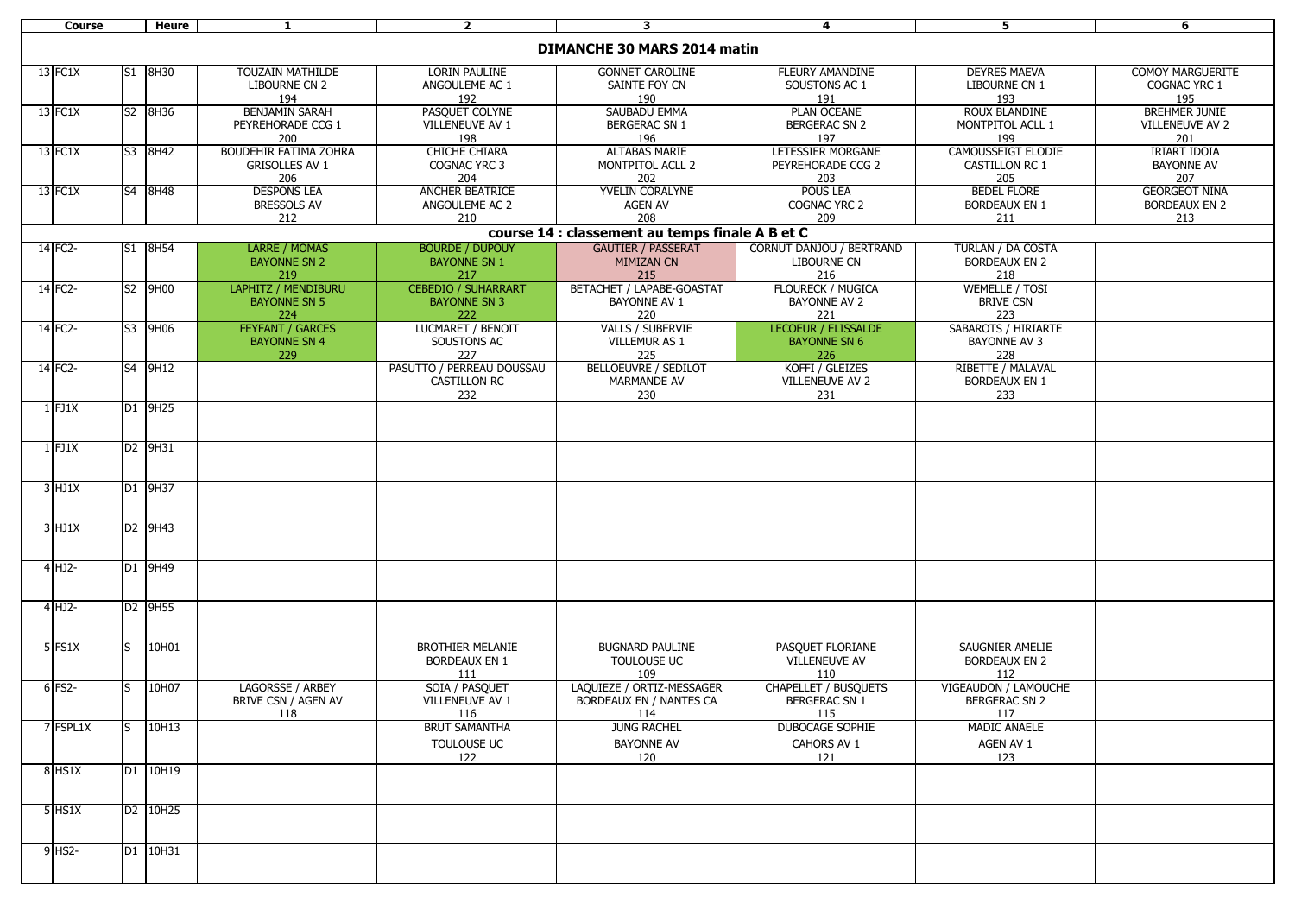| <b>Course</b>                      |     | Heure    | 1                       | $\overline{2}$             | 3                                               | $\overline{4}$              | 5                          | 6                       |
|------------------------------------|-----|----------|-------------------------|----------------------------|-------------------------------------------------|-----------------------------|----------------------------|-------------------------|
|                                    |     |          |                         |                            |                                                 |                             |                            |                         |
| <b>DIMANCHE 30 MARS 2014 matin</b> |     |          |                         |                            |                                                 |                             |                            |                         |
|                                    |     | S1 8H30  | <b>TOUZAIN MATHILDE</b> |                            |                                                 |                             | <b>DEYRES MAEVA</b>        | <b>COMOY MARGUERITE</b> |
| 13 FC1X                            |     |          |                         | LORIN PAULINE              | <b>GONNET CAROLINE</b>                          | FLEURY AMANDINE             |                            |                         |
|                                    |     |          | LIBOURNE CN 2           | ANGOULEME AC 1             | SAINTE FOY CN                                   | SOUSTONS AC 1               | LIBOURNE CN 1              | COGNAC YRC 1            |
|                                    |     |          | 194                     | 192                        | 190                                             | 191                         | 193                        | 195                     |
| 13 FC1X                            |     | S2 8H36  | <b>BENJAMIN SARAH</b>   | PASQUET COLYNE             | SAUBADU EMMA                                    | <b>PLAN OCEANE</b>          | <b>ROUX BLANDINE</b>       | <b>BREHMER JUNIE</b>    |
|                                    |     |          | PEYREHORADE CCG 1       | VILLENEUVE AV 1            | <b>BERGERAC SN 1</b>                            | <b>BERGERAC SN 2</b>        | MONTPITOL ACLL 1           | <b>VILLENEUVE AV 2</b>  |
|                                    |     |          | 200                     | 198                        | 196                                             | 197                         | 199                        | 201                     |
| 13 FC1X                            |     | S3 8H42  | BOUDEHIR FATIMA ZOHRA   | <b>CHICHE CHIARA</b>       | <b>ALTABAS MARIE</b>                            | LETESSIER MORGANE           | CAMOUSSEIGT ELODIE         | <b>IRIART IDOIA</b>     |
|                                    |     |          | <b>GRISOLLES AV 1</b>   | COGNAC YRC 3               | MONTPITOL ACLL 2                                | PEYREHORADE CCG 2           | <b>CASTILLON RC 1</b>      | <b>BAYONNE AV</b>       |
|                                    |     |          | 206                     | 204                        | 202                                             | 203                         | 205                        | 207                     |
| 13 FC1X                            |     | S4 8H48  | <b>DESPONS LEA</b>      | ANCHER BEATRICE            | YVELIN CORALYNE                                 | <b>POUS LEA</b>             | <b>BEDEL FLORE</b>         | <b>GEORGEOT NINA</b>    |
|                                    |     |          | <b>BRESSOLS AV</b>      | ANGOULEME AC 2             | <b>AGEN AV</b>                                  | COGNAC YRC 2                | <b>BORDEAUX EN 1</b>       | <b>BORDEAUX EN 2</b>    |
|                                    |     |          | 212                     | 210                        | 208                                             | 209                         | 211                        | 213                     |
|                                    |     |          |                         |                            | course 14 : classement au temps finale A B et C |                             |                            |                         |
| 14 FC2-                            |     | S1 8H54  | <b>LARRE / MOMAS</b>    | <b>BOURDE / DUPOUY</b>     | <b>GAUTIER / PASSERAT</b>                       | CORNUT DANJOU / BERTRAND    | TURLAN / DA COSTA          |                         |
|                                    |     |          | <b>BAYONNE SN 2</b>     | <b>BAYONNE SN 1</b>        | <b>MIMIZAN CN</b>                               | LIBOURNE CN                 | <b>BORDEAUX EN 2</b>       |                         |
|                                    |     |          | 219                     | 217                        | 215                                             | 216                         | 218                        |                         |
| 14 FC2-                            |     | S2 9H00  | LAPHITZ / MENDIBURU     | <b>CEBEDIO / SUHARRART</b> | BETACHET / LAPABE-GOASTAT                       | <b>FLOURECK / MUGICA</b>    | <b>WEMELLE / TOSI</b>      |                         |
|                                    |     |          |                         |                            |                                                 |                             |                            |                         |
|                                    |     |          | <b>BAYONNE SN 5</b>     | <b>BAYONNE SN 3</b>        | <b>BAYONNE AV 1</b>                             | <b>BAYONNE AV 2</b>         | <b>BRIVE CSN</b>           |                         |
|                                    |     |          | 224                     | 222                        | 220                                             | 221                         | 223                        |                         |
| $14$ FC2-                          |     | S3 9H06  | <b>FEYFANT / GARCES</b> | <b>LUCMARET / BENOIT</b>   | VALLS / SUBERVIE                                | LECOEUR / ELISSALDE         | <b>SABAROTS / HIRIARTE</b> |                         |
|                                    |     |          | <b>BAYONNE SN 4</b>     | SOUSTONS AC                | VILLEMUR AS 1                                   | <b>BAYONNE SN 6</b>         | <b>BAYONNE AV 3</b>        |                         |
|                                    |     |          | 229                     | 227                        | 225                                             | 226                         | 228                        |                         |
| 14 FC2-                            |     | S4 9H12  |                         | PASUTTO / PERREAU DOUSSAU  | <b>BELLOEUVRE / SEDILOT</b>                     | KOFFI / GLEIZES             | RIBETTE / MALAVAL          |                         |
|                                    |     |          |                         | <b>CASTILLON RC</b>        | <b>MARMANDE AV</b>                              | <b>VILLENEUVE AV 2</b>      | <b>BORDEAUX EN 1</b>       |                         |
|                                    |     |          |                         | 232                        | 230                                             | 231                         | 233                        |                         |
| $1$ FJ1X                           |     | D1 9H25  |                         |                            |                                                 |                             |                            |                         |
|                                    |     |          |                         |                            |                                                 |                             |                            |                         |
|                                    |     |          |                         |                            |                                                 |                             |                            |                         |
| $1$ FJ1X                           |     | D2 9H31  |                         |                            |                                                 |                             |                            |                         |
|                                    |     |          |                         |                            |                                                 |                             |                            |                         |
|                                    |     |          |                         |                            |                                                 |                             |                            |                         |
| $3$ HJ1X                           |     | D1 9H37  |                         |                            |                                                 |                             |                            |                         |
|                                    |     |          |                         |                            |                                                 |                             |                            |                         |
|                                    |     |          |                         |                            |                                                 |                             |                            |                         |
| $3$ HJ1X                           |     | D2 9H43  |                         |                            |                                                 |                             |                            |                         |
|                                    |     |          |                         |                            |                                                 |                             |                            |                         |
|                                    |     |          |                         |                            |                                                 |                             |                            |                         |
| 4 HJ2-                             |     | D1 9H49  |                         |                            |                                                 |                             |                            |                         |
|                                    |     |          |                         |                            |                                                 |                             |                            |                         |
|                                    |     |          |                         |                            |                                                 |                             |                            |                         |
| 4 HJ2-                             |     | D2 9H55  |                         |                            |                                                 |                             |                            |                         |
|                                    |     |          |                         |                            |                                                 |                             |                            |                         |
|                                    |     |          |                         |                            |                                                 |                             |                            |                         |
| 5 FS1X                             | ls. | 10H01    |                         | <b>BROTHIER MELANIE</b>    | <b>BUGNARD PAULINE</b>                          | PASQUET FLORIANE            | SAUGNIER AMELIE            |                         |
|                                    |     |          |                         | <b>BORDEAUX EN 1</b>       | TOULOUSE UC                                     | <b>VILLENEUVE AV</b>        | <b>BORDEAUX EN 2</b>       |                         |
|                                    |     |          |                         | 111                        | 109                                             | 110                         | 112                        |                         |
| $6$ FS2-                           | S.  | 10H07    | LAGORSSE / ARBEY        | SOIA / PASQUET             | LAQUIEZE / ORTIZ-MESSAGER                       | <b>CHAPELLET / BUSQUETS</b> | VIGEAUDON / LAMOUCHE       |                         |
|                                    |     |          | BRIVE CSN / AGEN AV     | VILLENEUVE AV 1            | BORDEAUX EN / NANTES CA                         | BERGERAC SN 1               | BERGERAC SN 2              |                         |
|                                    |     |          | 118                     | 116                        | 114                                             | 115                         | 117                        |                         |
|                                    |     |          |                         | <b>BRUT SAMANTHA</b>       |                                                 |                             |                            |                         |
| 7 FSPL1X                           | S   | 10H13    |                         |                            | <b>JUNG RACHEL</b>                              | <b>DUBOCAGE SOPHIE</b>      | <b>MADIC ANAELE</b>        |                         |
|                                    |     |          |                         | TOULOUSE UC                | <b>BAYONNE AV</b>                               | CAHORS AV 1                 | AGEN AV 1                  |                         |
|                                    |     |          |                         | 122                        | 120                                             | 121                         | 123                        |                         |
| <b>8 HS1X</b>                      |     | D1 10H19 |                         |                            |                                                 |                             |                            |                         |
|                                    |     |          |                         |                            |                                                 |                             |                            |                         |
|                                    |     |          |                         |                            |                                                 |                             |                            |                         |
| 5 HS1X                             |     | D2 10H25 |                         |                            |                                                 |                             |                            |                         |
|                                    |     |          |                         |                            |                                                 |                             |                            |                         |
|                                    |     |          |                         |                            |                                                 |                             |                            |                         |
| $9$ HS2-                           |     | D1 10H31 |                         |                            |                                                 |                             |                            |                         |
|                                    |     |          |                         |                            |                                                 |                             |                            |                         |
|                                    |     |          |                         |                            |                                                 |                             |                            |                         |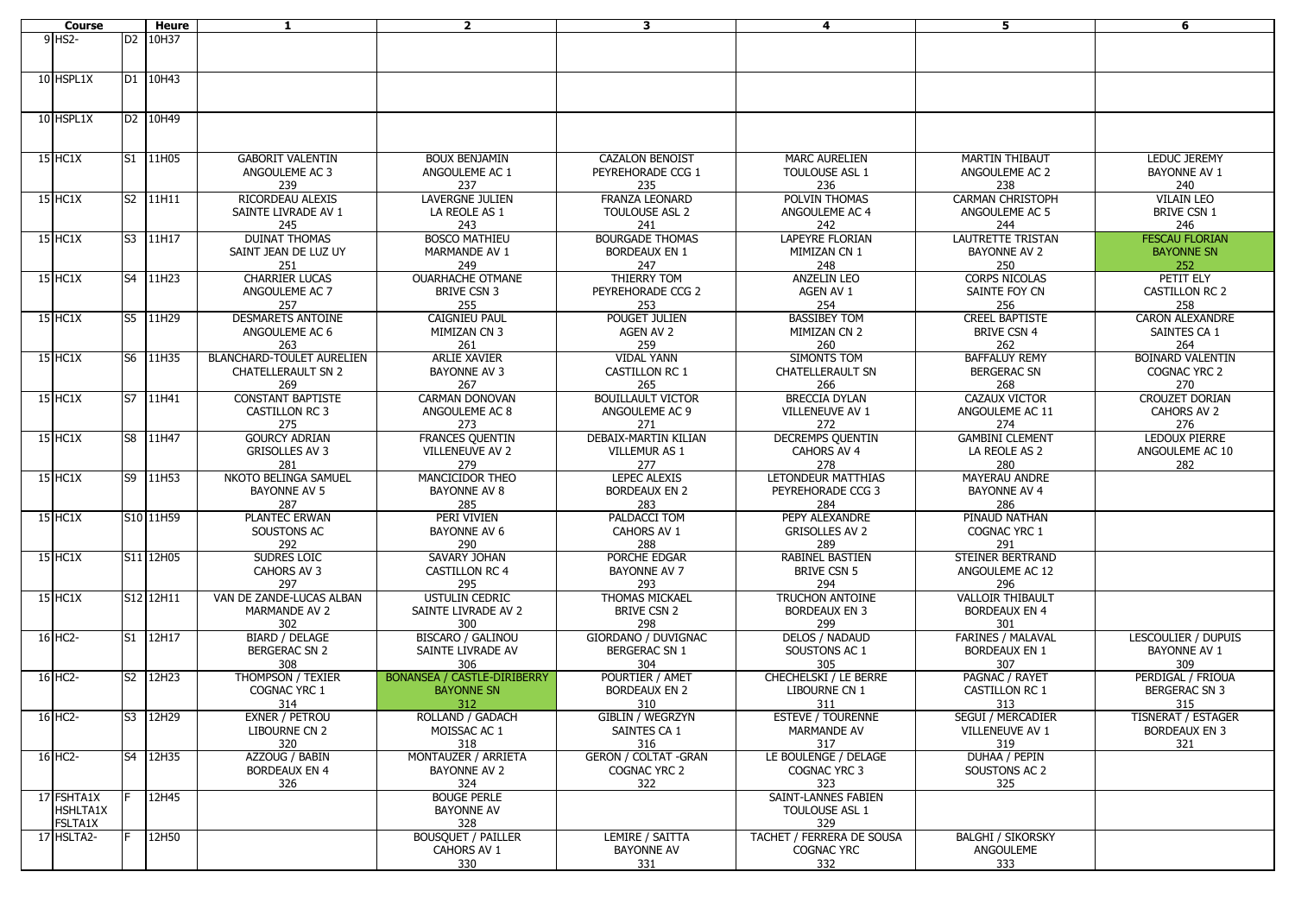| <b>Course</b>  |   | <b>Heure</b> | $\mathbf{1}$                     | $\overline{2}$                     | $\mathbf{3}$                 | 4                         | 5                        | 6                       |
|----------------|---|--------------|----------------------------------|------------------------------------|------------------------------|---------------------------|--------------------------|-------------------------|
| 9 HS2-         |   | D2 10H37     |                                  |                                    |                              |                           |                          |                         |
|                |   |              |                                  |                                    |                              |                           |                          |                         |
|                |   |              |                                  |                                    |                              |                           |                          |                         |
|                |   |              |                                  |                                    |                              |                           |                          |                         |
| 10 HSPL1X      |   | D1 10H43     |                                  |                                    |                              |                           |                          |                         |
|                |   |              |                                  |                                    |                              |                           |                          |                         |
|                |   |              |                                  |                                    |                              |                           |                          |                         |
| 10 HSPL1X      |   | D2 10H49     |                                  |                                    |                              |                           |                          |                         |
|                |   |              |                                  |                                    |                              |                           |                          |                         |
|                |   |              |                                  |                                    |                              |                           |                          |                         |
| <b>15 HC1X</b> |   | S1 11H05     | <b>GABORIT VALENTIN</b>          | <b>BOUX BENJAMIN</b>               | <b>CAZALON BENOIST</b>       | <b>MARC AURELIEN</b>      | <b>MARTIN THIBAUT</b>    | <b>LEDUC JEREMY</b>     |
|                |   |              | ANGOULEME AC 3                   |                                    |                              |                           |                          |                         |
|                |   |              |                                  | ANGOULEME AC 1                     | PEYREHORADE CCG 1            | TOULOUSE ASL 1            | ANGOULEME AC 2           | <b>BAYONNE AV 1</b>     |
|                |   |              | 239                              | 237                                | 235                          | 236                       | 238                      | 240                     |
| <b>15 HC1X</b> |   | S2 11H11     | RICORDEAU ALEXIS                 | <b>LAVERGNE JULIEN</b>             | <b>FRANZA LEONARD</b>        | POLVIN THOMAS             | <b>CARMAN CHRISTOPH</b>  | <b>VILAIN LEO</b>       |
|                |   |              | SAINTE LIVRADE AV 1              | LA REOLE AS 1                      | <b>TOULOUSE ASL 2</b>        | ANGOULEME AC 4            | ANGOULEME AC 5           | <b>BRIVE CSN 1</b>      |
|                |   |              | 245                              | 243                                | 241                          | 242                       | 244                      | 246                     |
| 15 HC1X        |   | S3 11H17     | <b>DUINAT THOMAS</b>             | <b>BOSCO MATHIEU</b>               | <b>BOURGADE THOMAS</b>       | LAPEYRE FLORIAN           | LAUTRETTE TRISTAN        | <b>FESCAU FLORIAN</b>   |
|                |   |              | SAINT JEAN DE LUZ UY             | MARMANDE AV 1                      | <b>BORDEAUX EN 1</b>         | MIMIZAN CN 1              | <b>BAYONNE AV 2</b>      | <b>BAYONNE SN</b>       |
|                |   |              |                                  |                                    |                              |                           |                          |                         |
|                |   |              | 251                              | 249                                | 247                          | 248                       | 250                      | 252                     |
| <b>15 HC1X</b> |   | S4 11H23     | <b>CHARRIER LUCAS</b>            | <b>OUARHACHE OTMANE</b>            | THIERRY TOM                  | <b>ANZELIN LEO</b>        | <b>CORPS NICOLAS</b>     | PETIT ELY               |
|                |   |              | ANGOULEME AC 7                   | <b>BRIVE CSN 3</b>                 | PEYREHORADE CCG 2            | AGEN AV 1                 | SAINTE FOY CN            | <b>CASTILLON RC 2</b>   |
|                |   |              | 257                              | 255                                | 253                          | 254                       | 256                      | 258                     |
| <b>15 HC1X</b> |   | S5 11H29     | <b>DESMARETS ANTOINE</b>         | <b>CAIGNIEU PAUL</b>               | POUGET JULIEN                | <b>BASSIBEY TOM</b>       | <b>CREEL BAPTISTE</b>    | <b>CARON ALEXANDRE</b>  |
|                |   |              | ANGOULEME AC 6                   | MIMIZAN CN 3                       | AGEN AV 2                    | MIMIZAN CN 2              | <b>BRIVE CSN 4</b>       | SAINTES CA 1            |
|                |   |              | 263                              | 261                                | 259                          | 260                       | 262                      | 264                     |
|                |   |              |                                  |                                    |                              |                           |                          |                         |
| $15$ HC1X      |   | S6 11H35     | <b>BLANCHARD-TOULET AURELIEN</b> | <b>ARLIE XAVIER</b>                | <b>VIDAL YANN</b>            | SIMONTS TOM               | <b>BAFFALUY REMY</b>     | <b>BOINARD VALENTIN</b> |
|                |   |              | <b>CHATELLERAULT SN 2</b>        | <b>BAYONNE AV 3</b>                | <b>CASTILLON RC 1</b>        | <b>CHATELLERAULT SN</b>   | <b>BERGERAC SN</b>       | COGNAC YRC 2            |
|                |   |              | 269                              | 267                                | 265                          | 266                       | 268                      | 270                     |
| $15$ HC1X      |   | S7 11H41     | <b>CONSTANT BAPTISTE</b>         | <b>CARMAN DONOVAN</b>              | <b>BOUILLAULT VICTOR</b>     | <b>BRECCIA DYLAN</b>      | <b>CAZAUX VICTOR</b>     | <b>CROUZET DORIAN</b>   |
|                |   |              | <b>CASTILLON RC 3</b>            | ANGOULEME AC 8                     | ANGOULEME AC 9               | VILLENEUVE AV 1           | ANGOULEME AC 11          | CAHORS AV 2             |
|                |   |              | 275                              | 273                                | 271                          | 272                       | 274                      | 276                     |
| <b>15 HC1X</b> |   | S8 11H47     | <b>GOURCY ADRIAN</b>             | <b>FRANCES QUENTIN</b>             | DEBAIX-MARTIN KILIAN         | <b>DECREMPS QUENTIN</b>   | <b>GAMBINI CLEMENT</b>   | <b>LEDOUX PIERRE</b>    |
|                |   |              |                                  |                                    |                              |                           |                          |                         |
|                |   |              | <b>GRISOLLES AV 3</b>            | VILLENEUVE AV 2                    | VILLEMUR AS 1                | CAHORS AV 4               | LA REOLE AS 2            | ANGOULEME AC 10         |
|                |   |              | 281                              | 279                                | 277                          | 278                       | 280                      | 282                     |
| $15$ HC1X      |   | S9 11H53     | NKOTO BELINGA SAMUEL             | MANCICIDOR THEO                    | <b>LEPEC ALEXIS</b>          | LETONDEUR MATTHIAS        | <b>MAYERAU ANDRE</b>     |                         |
|                |   |              | <b>BAYONNE AV 5</b>              | <b>BAYONNE AV 8</b>                | <b>BORDEAUX EN 2</b>         | PEYREHORADE CCG 3         | <b>BAYONNE AV 4</b>      |                         |
|                |   |              | 287                              | 285                                | 283                          | 284                       | 286                      |                         |
| 15 HC1X        |   | S10 11H59    | <b>PLANTEC ERWAN</b>             | PERI VIVIEN                        | PALDACCI TOM                 | PEPY ALEXANDRE            | PINAUD NATHAN            |                         |
|                |   |              | SOUSTONS AC                      | <b>BAYONNE AV 6</b>                | CAHORS AV 1                  | <b>GRISOLLES AV 2</b>     | COGNAC YRC 1             |                         |
|                |   |              | 292                              | 290                                | 288                          | 289                       | 291                      |                         |
|                |   | S11 12H05    | <b>SUDRES LOIC</b>               |                                    |                              |                           |                          |                         |
| <b>15 HC1X</b> |   |              |                                  | SAVARY JOHAN                       | PORCHE EDGAR                 | RABINEL BASTIEN           | STEINER BERTRAND         |                         |
|                |   |              | CAHORS AV 3                      | <b>CASTILLON RC 4</b>              | <b>BAYONNE AV 7</b>          | <b>BRIVE CSN 5</b>        | ANGOULEME AC 12          |                         |
|                |   |              | 297                              | 295                                | 293                          | 294                       | 296                      |                         |
| $15$ HC1X      |   | S12 12H11    | VAN DE ZANDE-LUCAS ALBAN         | <b>USTULIN CEDRIC</b>              | <b>THOMAS MICKAEL</b>        | <b>TRUCHON ANTOINE</b>    | <b>VALLOIR THIBAULT</b>  |                         |
|                |   |              | <b>MARMANDE AV 2</b>             | SAINTE LIVRADE AV 2                | BRIVE CSN 2                  | <b>BORDEAUX EN 3</b>      | <b>BORDEAUX EN 4</b>     |                         |
|                |   |              | 302                              | 300                                | 298                          | 299                       | 301                      |                         |
| 16 HC2-        |   | S1 12H17     | <b>BIARD / DELAGE</b>            | <b>BISCARO / GALINOU</b>           | GIORDANO / DUVIGNAC          | <b>DELOS / NADAUD</b>     | <b>FARINES / MALAVAL</b> | LESCOULIER / DUPUIS     |
|                |   |              |                                  |                                    | <b>BERGERAC SN 1</b>         |                           |                          |                         |
|                |   |              | <b>BERGERAC SN 2</b>             | SAINTE LIVRADE AV                  |                              | SOUSTONS AC 1             | <b>BORDEAUX EN 1</b>     | <b>BAYONNE AV 1</b>     |
|                |   |              | 308                              | 306                                | 304                          | 305                       | 307                      | 309                     |
| 16 HC2-        |   | S2 12H23     | THOMPSON / TEXIER                | <b>BONANSEA / CASTLE-DIRIBERRY</b> | POURTIER / AMET              | CHECHELSKI / LE BERRE     | PAGNAC / RAYET           | PERDIGAL / FRIOUA       |
|                |   |              | COGNAC YRC 1                     | <b>BAYONNE SN</b>                  | <b>BORDEAUX EN 2</b>         | LIBOURNE CN 1             | CASTILLON RC 1           | <b>BERGERAC SN 3</b>    |
|                |   |              | 314                              | 312                                | 310                          | 311                       | 313                      | 315                     |
| 16 HC2-        |   | S3 12H29     | EXNER / PETROU                   | ROLLAND / GADACH                   | GIBLIN / WEGRZYN             | <b>ESTEVE / TOURENNE</b>  | <b>SEGUI / MERCADIER</b> | TISNERAT / ESTAGER      |
|                |   |              | LIBOURNE CN 2                    | MOISSAC AC 1                       | SAINTES CA 1                 | MARMANDE AV               | VILLENEUVE AV 1          | <b>BORDEAUX EN 3</b>    |
|                |   |              | 320                              | 318                                | 316                          | 317                       | 319                      | 321                     |
|                |   |              |                                  |                                    |                              |                           |                          |                         |
| $16$ HC2-      |   | S4 12H35     | AZZOUG / BABIN                   | MONTAUZER / ARRIETA                | <b>GERON / COLTAT - GRAN</b> | LE BOULENGE / DELAGE      | DUHAA / PEPIN            |                         |
|                |   |              | <b>BORDEAUX EN 4</b>             | <b>BAYONNE AV 2</b>                | COGNAC YRC 2                 | COGNAC YRC 3              | SOUSTONS AC 2            |                         |
|                |   |              | 326                              | 324                                | 322                          | 323                       | 325                      |                         |
| 17 FSHTA1X     |   | 12H45        |                                  | <b>BOUGE PERLE</b>                 |                              | SAINT-LANNES FABIEN       |                          |                         |
| HSHLTA1X       |   |              |                                  | <b>BAYONNE AV</b>                  |                              | TOULOUSE ASL 1            |                          |                         |
| <b>FSLTA1X</b> |   |              |                                  | 328                                |                              | 329                       |                          |                         |
| 17 HSLTA2-     | F | 12H50        |                                  | <b>BOUSQUET / PAILLER</b>          | LEMIRE / SAITTA              | TACHET / FERRERA DE SOUSA | <b>BALGHI / SIKORSKY</b> |                         |
|                |   |              |                                  |                                    |                              | <b>COGNAC YRC</b>         |                          |                         |
|                |   |              |                                  | CAHORS AV 1                        | <b>BAYONNE AV</b>            |                           | ANGOULEME                |                         |
|                |   |              |                                  | 330                                | 331                          | 332                       | 333                      |                         |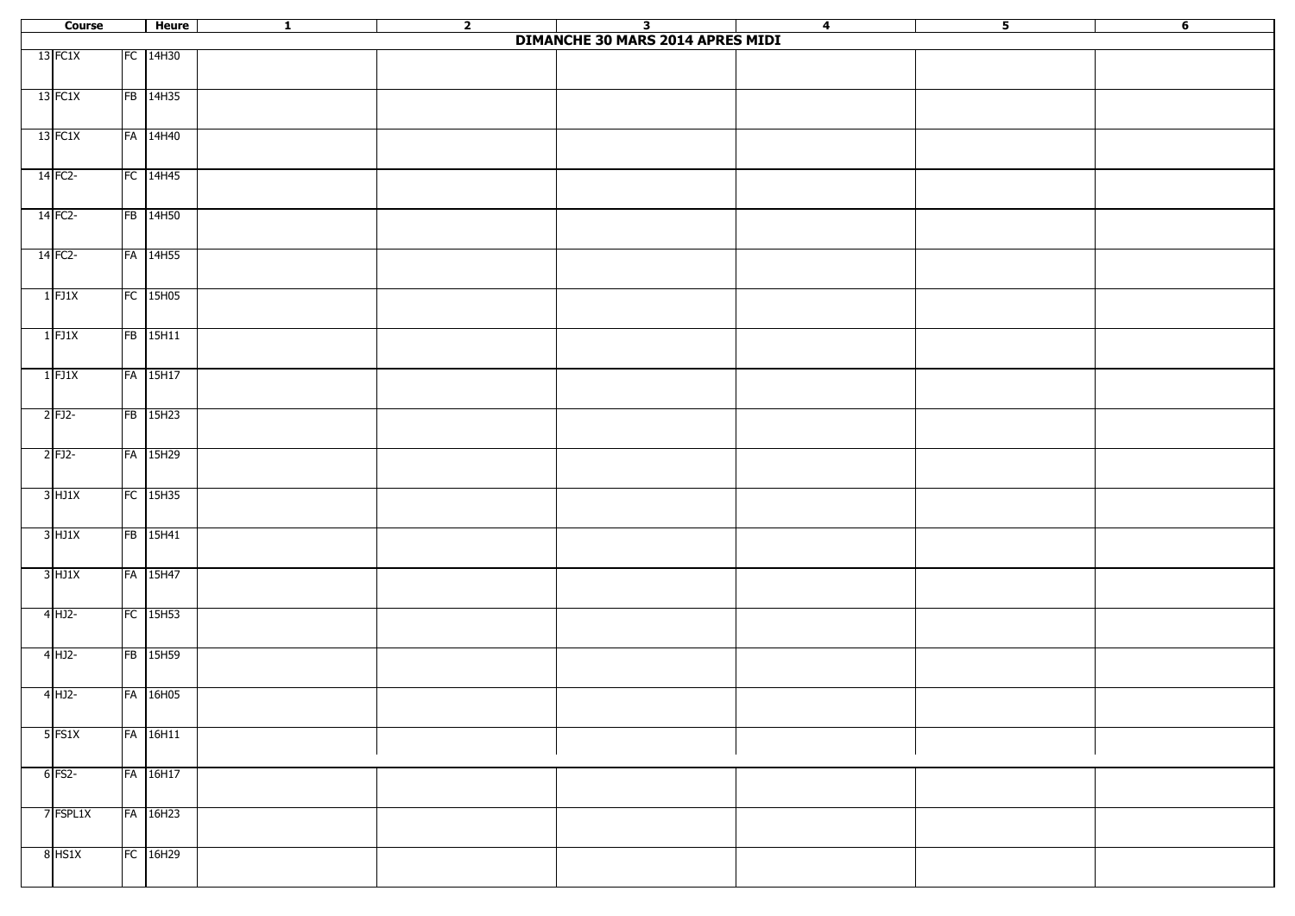| Course |           | Heure      | $\overline{\mathbf{1}}$ | $\overline{2}$ | $\overline{\mathbf{3}}$                 | $\overline{4}$ | 5 <sub>z</sub> | $6\overline{6}$ |
|--------|-----------|------------|-------------------------|----------------|-----------------------------------------|----------------|----------------|-----------------|
|        |           |            |                         |                | <b>DIMANCHE 30 MARS 2014 APRES MIDI</b> |                |                |                 |
|        | 13 FC1X   | FC 14H30   |                         |                |                                         |                |                |                 |
|        |           |            |                         |                |                                         |                |                |                 |
|        |           |            |                         |                |                                         |                |                |                 |
|        | 13 FC1X   | FB 14H35   |                         |                |                                         |                |                |                 |
|        |           |            |                         |                |                                         |                |                |                 |
|        | 13 FC1X   | FA 14H40   |                         |                |                                         |                |                |                 |
|        |           |            |                         |                |                                         |                |                |                 |
|        |           |            |                         |                |                                         |                |                |                 |
|        | 14 FC2-   | FC 14H45   |                         |                |                                         |                |                |                 |
|        |           |            |                         |                |                                         |                |                |                 |
|        | $14$ FC2- | FB 14H50   |                         |                |                                         |                |                |                 |
|        |           |            |                         |                |                                         |                |                |                 |
|        |           |            |                         |                |                                         |                |                |                 |
|        | $14$ FC2- | FA 14H55   |                         |                |                                         |                |                |                 |
|        |           |            |                         |                |                                         |                |                |                 |
|        | $1$ FJ1X  | FC 15H05   |                         |                |                                         |                |                |                 |
|        |           |            |                         |                |                                         |                |                |                 |
|        |           |            |                         |                |                                         |                |                |                 |
|        | $1$ FJ1X  | FB 15H11   |                         |                |                                         |                |                |                 |
|        |           |            |                         |                |                                         |                |                |                 |
|        |           |            |                         |                |                                         |                |                |                 |
|        | $1$ FJ1X  | FA 15H17   |                         |                |                                         |                |                |                 |
|        |           |            |                         |                |                                         |                |                |                 |
|        | $2$ FJ2-  | FB 15H23   |                         |                |                                         |                |                |                 |
|        |           |            |                         |                |                                         |                |                |                 |
|        |           |            |                         |                |                                         |                |                |                 |
|        | $2$ FJ2-  | FA 15H29   |                         |                |                                         |                |                |                 |
|        |           |            |                         |                |                                         |                |                |                 |
|        | $3$ HJ1X  | FC 15H35   |                         |                |                                         |                |                |                 |
|        |           |            |                         |                |                                         |                |                |                 |
|        |           |            |                         |                |                                         |                |                |                 |
|        | $3$ HJ1X  | FB 15H41   |                         |                |                                         |                |                |                 |
|        |           |            |                         |                |                                         |                |                |                 |
|        | $3$ HJ1X  | FA 15H47   |                         |                |                                         |                |                |                 |
|        |           |            |                         |                |                                         |                |                |                 |
|        |           |            |                         |                |                                         |                |                |                 |
|        | $4$ HJ2-  | FC 15H53   |                         |                |                                         |                |                |                 |
|        |           |            |                         |                |                                         |                |                |                 |
|        | $4$ HJ2-  | FB 15H59   |                         |                |                                         |                |                |                 |
|        |           |            |                         |                |                                         |                |                |                 |
|        |           |            |                         |                |                                         |                |                |                 |
|        | $4$ HJ2-  | FA 16H05   |                         |                |                                         |                |                |                 |
|        |           |            |                         |                |                                         |                |                |                 |
|        | $5$ FS1X  |            |                         |                |                                         |                |                |                 |
|        |           | FA 16H11   |                         |                |                                         |                |                |                 |
|        |           |            |                         |                |                                         |                |                |                 |
|        | 6 FS2-    | FA 16H17   |                         |                |                                         |                |                |                 |
|        |           |            |                         |                |                                         |                |                |                 |
|        |           |            |                         |                |                                         |                |                |                 |
|        | 7 FSPL1X  | FA 16H23   |                         |                |                                         |                |                |                 |
|        |           |            |                         |                |                                         |                |                |                 |
|        | $8$ HS1X  | $FC$ 16H29 |                         |                |                                         |                |                |                 |
|        |           |            |                         |                |                                         |                |                |                 |
|        |           |            |                         |                |                                         |                |                |                 |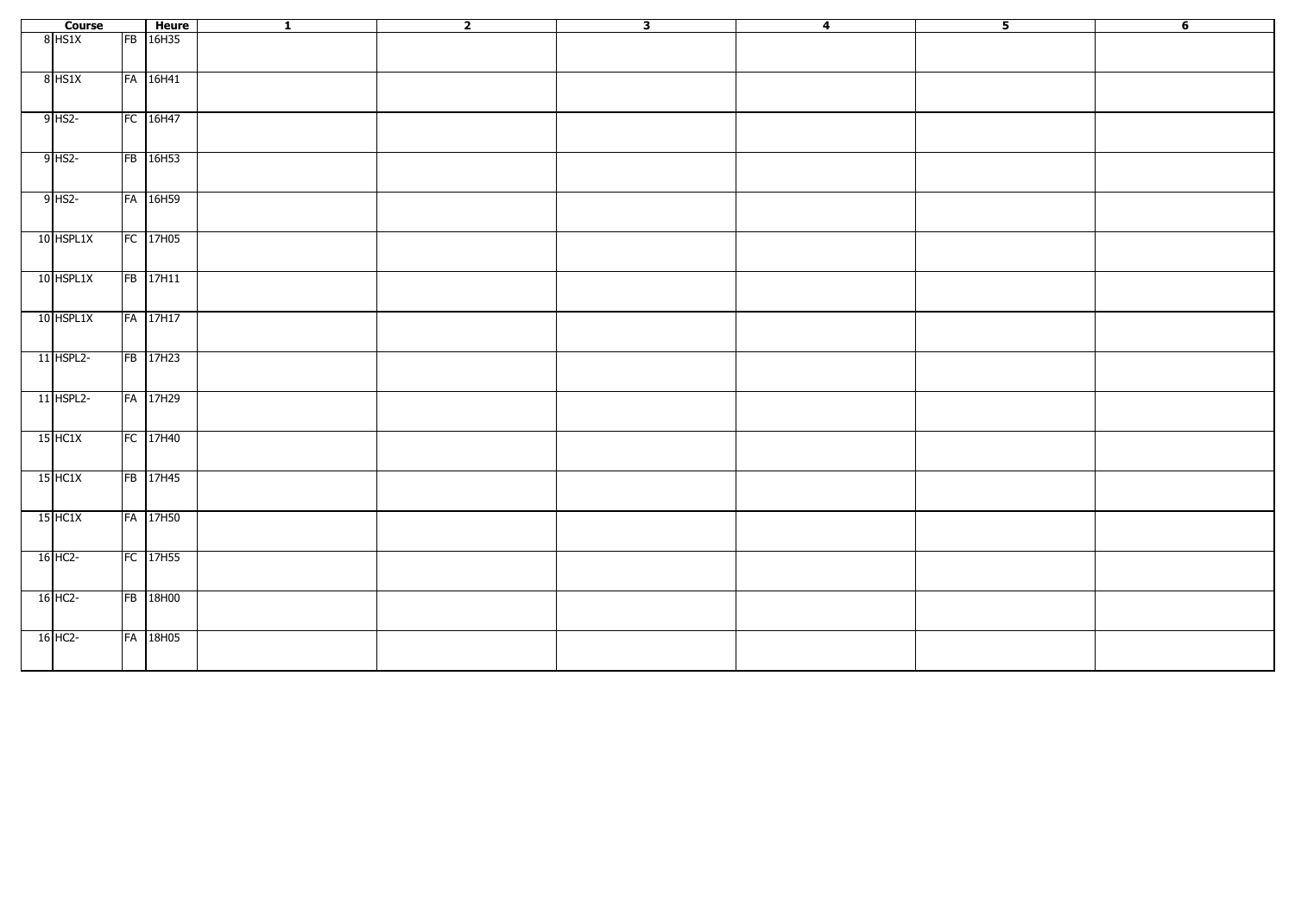| Course      | Heure      | $\overline{\mathbf{1}}$ | $\overline{\mathbf{2}}$ | $\overline{\mathbf{3}}$ | $\overline{4}$ | $\overline{\mathbf{5}}$ | $6\overline{}$ |
|-------------|------------|-------------------------|-------------------------|-------------------------|----------------|-------------------------|----------------|
| 8 HS1X      | FB 16H35   |                         |                         |                         |                |                         |                |
|             |            |                         |                         |                         |                |                         |                |
| $8$ HS1X    | FA 16H41   |                         |                         |                         |                |                         |                |
|             |            |                         |                         |                         |                |                         |                |
|             |            |                         |                         |                         |                |                         |                |
| $9$ HS2-    | $FC$ 16H47 |                         |                         |                         |                |                         |                |
|             |            |                         |                         |                         |                |                         |                |
| $9$ HS2-    | FB 16H53   |                         |                         |                         |                |                         |                |
|             |            |                         |                         |                         |                |                         |                |
|             |            |                         |                         |                         |                |                         |                |
| $9$ HS2-    | FA 16H59   |                         |                         |                         |                |                         |                |
|             |            |                         |                         |                         |                |                         |                |
| 10 HSPL1X   | FC 17H05   |                         |                         |                         |                |                         |                |
|             |            |                         |                         |                         |                |                         |                |
|             |            |                         |                         |                         |                |                         |                |
| 10 HSPL1X   | FB 17H11   |                         |                         |                         |                |                         |                |
|             |            |                         |                         |                         |                |                         |                |
| 10 HSPL1X   | FA 17H17   |                         |                         |                         |                |                         |                |
|             |            |                         |                         |                         |                |                         |                |
|             |            |                         |                         |                         |                |                         |                |
| 11 HSPL2-   | FB 17H23   |                         |                         |                         |                |                         |                |
|             |            |                         |                         |                         |                |                         |                |
| $11$ HSPL2- | FA 17H29   |                         |                         |                         |                |                         |                |
|             |            |                         |                         |                         |                |                         |                |
|             |            |                         |                         |                         |                |                         |                |
| $15$ HC1X   | FC 17H40   |                         |                         |                         |                |                         |                |
|             |            |                         |                         |                         |                |                         |                |
| $15$ HC1X   | FB 17H45   |                         |                         |                         |                |                         |                |
|             |            |                         |                         |                         |                |                         |                |
|             |            |                         |                         |                         |                |                         |                |
| $15$ HC1X   | FA 17H50   |                         |                         |                         |                |                         |                |
|             |            |                         |                         |                         |                |                         |                |
| $16$ HC2-   | FC 17H55   |                         |                         |                         |                |                         |                |
|             |            |                         |                         |                         |                |                         |                |
|             |            |                         |                         |                         |                |                         |                |
| $16$ HC2-   | FB 18H00   |                         |                         |                         |                |                         |                |
|             |            |                         |                         |                         |                |                         |                |
| $16$ HC2-   | FA 18H05   |                         |                         |                         |                |                         |                |
|             |            |                         |                         |                         |                |                         |                |
|             |            |                         |                         |                         |                |                         |                |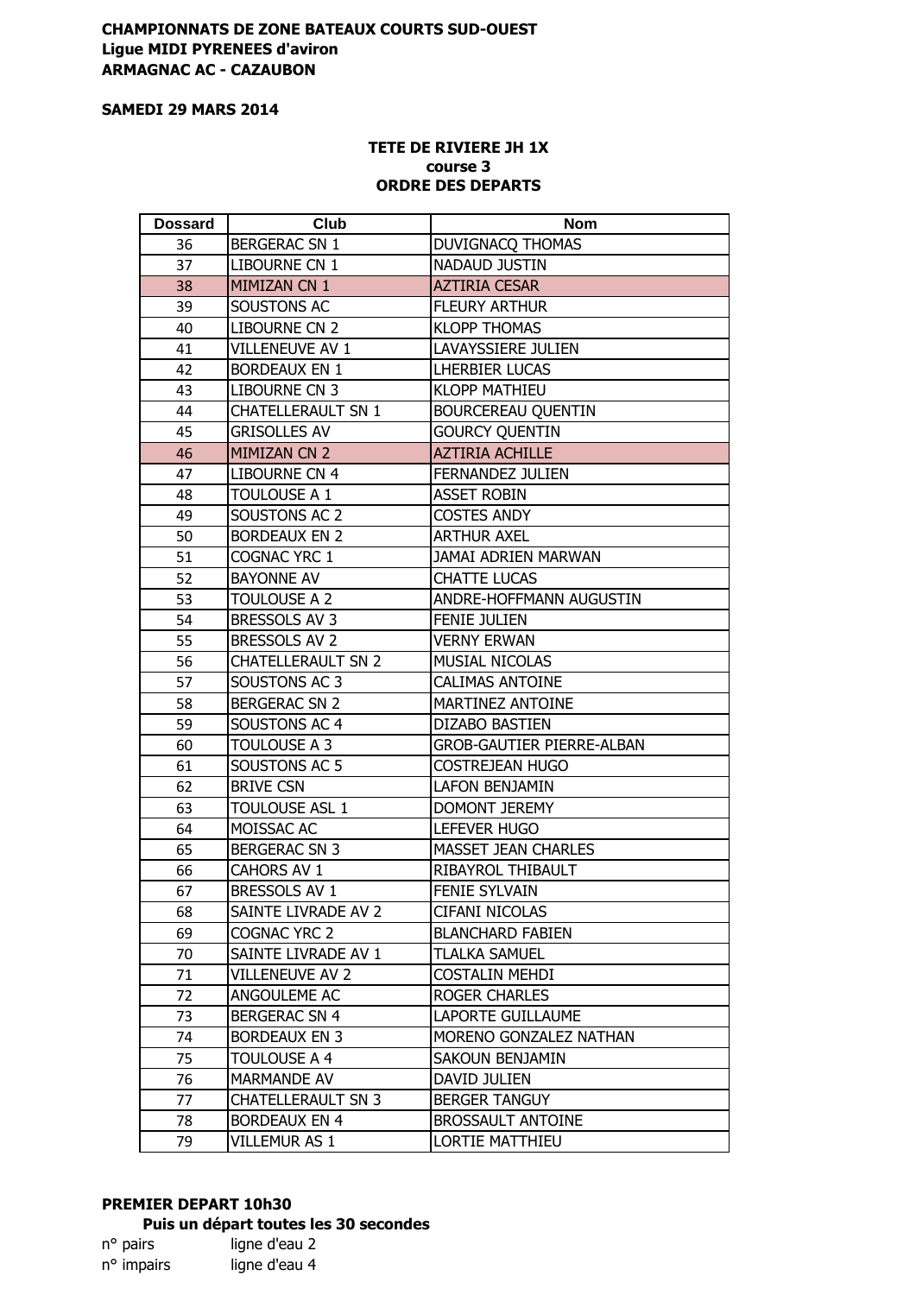## **CHAMPIONNATS DE ZONE BATEAUX COURTS SUD-OUEST Ligue MIDI PYRENEES d'aviron ARMAGNAC AC - CAZAUBON**

#### **SAMEDI 29 MARS 2014**

#### **TETE DE RIVIERE JH 1X course 3 ORDRE DES DEPARTS**

| <b>Dossard</b> | Club                      | <b>Nom</b>                       |
|----------------|---------------------------|----------------------------------|
| 36             | <b>BERGERAC SN 1</b>      | DUVIGNACQ THOMAS                 |
| 37             | LIBOURNE CN 1             | NADAUD JUSTIN                    |
| 38             | MIMIZAN CN 1              | <b>AZTIRIA CESAR</b>             |
| 39             | SOUSTONS AC               | <b>FLEURY ARTHUR</b>             |
| 40             | LIBOURNE CN 2             | <b>KLOPP THOMAS</b>              |
| 41             | VILLENEUVE AV 1           | LAVAYSSIERE JULIEN               |
| 42             | <b>BORDEAUX EN 1</b>      | <b>LHERBIER LUCAS</b>            |
| 43             | LIBOURNE CN 3             | <b>KLOPP MATHIEU</b>             |
| 44             | <b>CHATELLERAULT SN 1</b> | <b>BOURCEREAU QUENTIN</b>        |
| 45             | <b>GRISOLLES AV</b>       | <b>GOURCY QUENTIN</b>            |
| 46             | MIMIZAN CN 2              | <b>AZTIRIA ACHILLE</b>           |
| 47             | LIBOURNE CN 4             | FERNANDEZ JULIEN                 |
| 48             | TOULOUSE A 1              | <b>ASSET ROBIN</b>               |
| 49             | SOUSTONS AC 2             | <b>COSTES ANDY</b>               |
| 50             | <b>BORDEAUX EN 2</b>      | <b>ARTHUR AXEL</b>               |
| 51             | COGNAC YRC 1              | JAMAI ADRIEN MARWAN              |
| 52             | <b>BAYONNE AV</b>         | <b>CHATTE LUCAS</b>              |
| 53             | TOULOUSE A 2              | ANDRE-HOFFMANN AUGUSTIN          |
| 54             | BRESSOLS AV 3             | <b>FENIE JULIEN</b>              |
| 55             | BRESSOLS AV 2             | VERNY ERWAN                      |
| 56             | <b>CHATELLERAULT SN 2</b> | <b>MUSIAL NICOLAS</b>            |
| 57             | SOUSTONS AC 3             | <b>CALIMAS ANTOINE</b>           |
| 58             | <b>BERGERAC SN 2</b>      | MARTINEZ ANTOINE                 |
| 59             | SOUSTONS AC 4             | DIZABO BASTIEN                   |
| 60             | TOULOUSE A 3              | <b>GROB-GAUTIER PIERRE-ALBAN</b> |
| 61             | SOUSTONS AC 5             | COSTREJEAN HUGO                  |
| 62             | <b>BRIVE CSN</b>          | LAFON BENJAMIN                   |
| 63             | TOULOUSE ASL 1            | DOMONT JEREMY                    |
| 64             | MOISSAC AC                | LEFEVER HUGO                     |
| 65             | <b>BERGERAC SN 3</b>      | <b>MASSET JEAN CHARLES</b>       |
| 66             | CAHORS AV 1               | RIBAYROL THIBAULT                |
| 67             | BRESSOLS AV 1             | <b>FENIE SYLVAIN</b>             |
| 68             | SAINTE LIVRADE AV 2       | CIFANI NICOLAS                   |
| 69             | COGNAC YRC 2              | <b>BLANCHARD FABIEN</b>          |
| 70             | SAINTE LIVRADE AV 1       | <b>TLALKA SAMUEL</b>             |
| 71             | VILLENEUVE AV 2           | <b>COSTALIN MEHDI</b>            |
| 72             | ANGOULEME AC              | <b>ROGER CHARLES</b>             |
| 73             | <b>BERGERAC SN 4</b>      | LAPORTE GUILLAUME                |
| 74             | <b>BORDEAUX EN 3</b>      | MORENO GONZALEZ NATHAN           |
| 75             | <b>TOULOUSE A 4</b>       | SAKOUN BENJAMIN                  |
| 76             | <b>MARMANDE AV</b>        | DAVID JULIEN                     |
| 77             | <b>CHATELLERAULT SN 3</b> | <b>BERGER TANGUY</b>             |
| 78             | <b>BORDEAUX EN 4</b>      | <b>BROSSAULT ANTOINE</b>         |
| 79             | VILLEMUR AS 1             | <b>LORTIE MATTHIEU</b>           |

# **PREMIER DEPART 10h30 Puis un départ toutes les 30 secondes**<br>n° pairs ligne d'eau 2

## ligne d'eau 2 n° impairs ligne d'eau 4